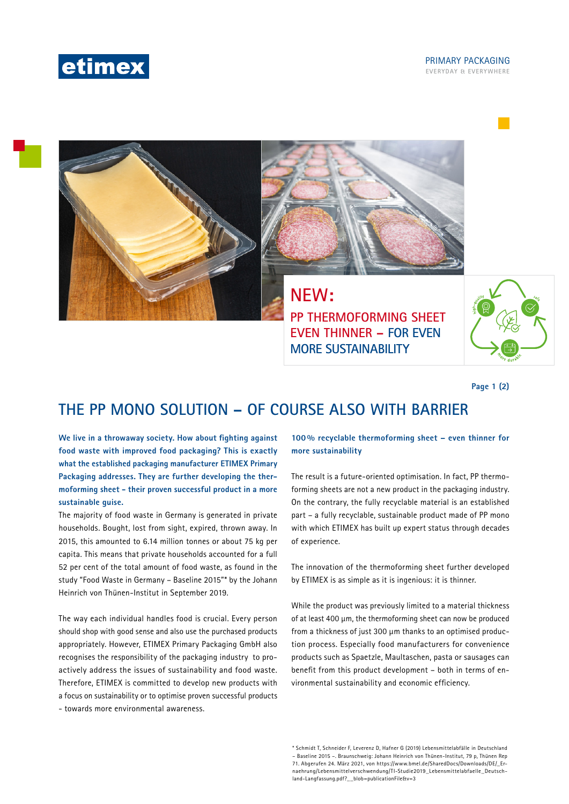

### **EVERYDAY & EVERYWHERE** PRIMARY PACKAGING



# **NEW:**

**PP THERMOFORMING SHEET EVEN THINNER – FOR EVEN MORE SUSTAINABILITY**



**Page 1 (2)**

# **THE PP MONO SOLUTION – OF COURSE ALSO WITH BARRIER**

**We live in a throwaway society. How about fighting against food waste with improved food packaging? This is exactly what the established packaging manufacturer ETIMEX Primary Packaging addresses. They are further developing the thermoforming sheet - their proven successful product in a more sustainable guise.**

The majority of food waste in Germany is generated in private households. Bought, lost from sight, expired, thrown away. In 2015, this amounted to 6.14 million tonnes or about 75 kg per capita. This means that private households accounted for a full 52 per cent of the total amount of food waste, as found in the study "Food Waste in Germany – Baseline 2015"\* by the Johann Heinrich von Thünen-Institut in September 2019.

The way each individual handles food is crucial. Every person should shop with good sense and also use the purchased products appropriately. However, ETIMEX Primary Packaging GmbH also recognises the responsibility of the packaging industry to proactively address the issues of sustainability and food waste. Therefore, ETIMEX is committed to develop new products with a focus on sustainability or to optimise proven successful products - towards more environmental awareness.

**100 % recyclable thermoforming sheet – even thinner for more sustainability**

The result is a future-oriented optimisation. In fact, PP thermoforming sheets are not a new product in the packaging industry. On the contrary, the fully recyclable material is an established part – a fully recyclable, sustainable product made of PP mono with which ETIMEX has built up expert status through decades of experience.

The innovation of the thermoforming sheet further developed by ETIMEX is as simple as it is ingenious: it is thinner.

While the product was previously limited to a material thickness of at least 400 μm, the thermoforming sheet can now be produced from a thickness of just 300 μm thanks to an optimised production process. Especially food manufacturers for convenience products such as Spaetzle, Maultaschen, pasta or sausages can benefit from this product development – both in terms of environmental sustainability and economic efficiency.

\* Schmidt T, Schneider F, Leverenz D, Hafner G (2019) Lebensmittelabfälle in Deutschland – Baseline 2015 –. Braunschweig: Johann Heinrich von Thünen-Institut, 79 p, Thünen Rep 71. Abgerufen 24. März 2021, von https://www.bmel.de/SharedDocs/Downloads/DE/\_Ernaehrung/Lebensmittelverschwendung/TI-Studie2019\_Lebensmittelabfaelle\_Deutschland-Langfassung.pdf?\_\_blob=publicationFile&v=3